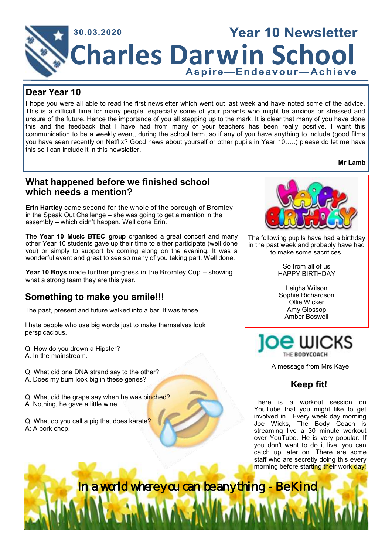

#### **Dear Year 10**

I hope you were all able to read the first newsletter which went out last week and have noted some of the advice. This is a difficult time for many people, especially some of your parents who might be anxious or stressed and unsure of the future. Hence the importance of you all stepping up to the mark. It is clear that many of you have done this and the feedback that I have had from many of your teachers has been really positive. I want this communication to be a weekly event, during the school term, so if any of you have anything to include (good films you have seen recently on Netflix? Good news about yourself or other pupils in Year 10…..) please do let me have this so I can include it in this newsletter.

**Mr Lamb**

#### **What happened before we finished school which needs a mention?**

**Erin Hartley** came second for the whole of the borough of Bromley in the Speak Out Challenge – she was going to get a mention in the assembly – which didn't happen. Well done Erin.

The **Year 10 Music BTEC group** organised a great concert and many other Year 10 students gave up their time to either participate (well done you) or simply to support by coming along on the evening. It was a wonderful event and great to see so many of you taking part. Well done.

**Year 10 Boys** made further progress in the Bromley Cup – showing what a strong team they are this year.

## **Something to make you smile!!!**

The past, present and future walked into a bar. It was tense.

I hate people who use big words just to make themselves look perspicacious.

Q. How do you drown a Hipster? A. In the mainstream.

Q. What did one DNA strand say to the other? A. Does my bum look big in these genes?

Q. What did the grape say when he was pinched? A. Nothing, he gave a little wine.

Q: What do you call a pig that does karate? A: A pork chop.



The following pupils have had a birthday in the past week and probably have had to make some sacrifices.

> So from all of us HAPPY BIRTHDAY

> Leigha Wilson Sophie Richardson Ollie Wicker Amy Glossop Amber Boswell



A message from Mrs Kaye

## **Keep fit!**

There is a workout session on YouTube that you might like to get involved in. Every week day morning Joe Wicks, The Body Coach is streaming live a 30 minute workout over YouTube. He is very popular. If you don't want to do it live, you can catch up later on. There are some staff who are secretly doing this every morning before starting their work day!

In a world where you can be anything - Be Kind